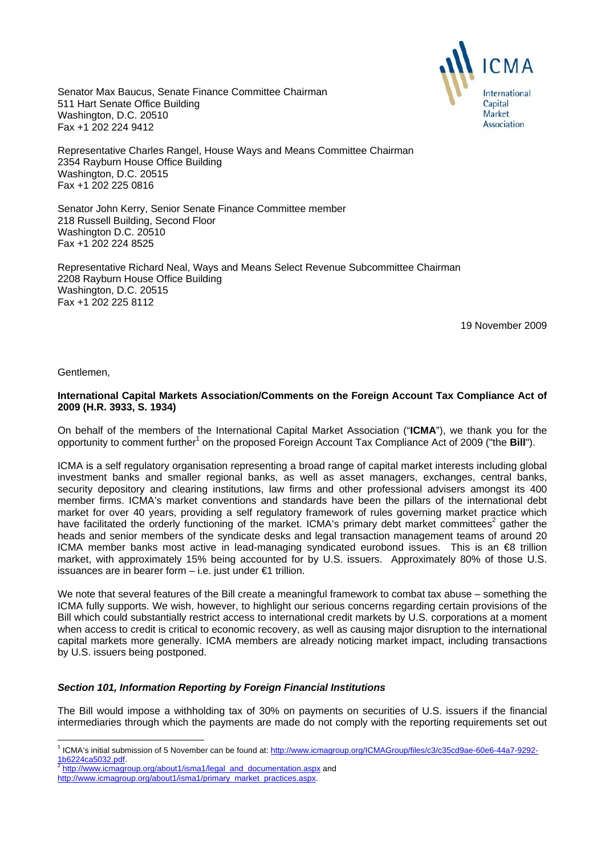

Senator Max Baucus, Senate Finance Committee Chairman 511 Hart Senate Office Building Washington, D.C. 20510 Fax +1 202 224 9412

Representative Charles Rangel, House Ways and Means Committee Chairman 2354 Rayburn House Office Building Washington, D.C. 20515 Fax +1 202 225 0816

Senator John Kerry, Senior Senate Finance Committee member 218 Russell Building, Second Floor Washington D.C. 20510 Fax +1 202 224 8525

Representative Richard Neal, Ways and Means Select Revenue Subcommittee Chairman 2208 Rayburn House Office Building Washington, D.C. 20515 Fax +1 202 225 8112

19 November 2009

Gentlemen,

# **International Capital Markets Association/Comments on the Foreign Account Tax Compliance Act of 2009 (H.R. 3933, S. 1934)**

On behalf of the members of the International Capital Market Association ("**ICMA**"), we thank you for the opportunity to comment further<sup>1</sup> on the proposed Foreign Account Tax Compliance Act of 2009 ("the **Bill**").

ICMA is a self regulatory organisation representing a broad range of capital market interests including global investment banks and smaller regional banks, as well as asset managers, exchanges, central banks, security depository and clearing institutions, law firms and other professional advisers amongst its 400 member firms. ICMA's market conventions and standards have been the pillars of the international debt market for over 40 years, providing a self regulatory framework of rules governing market practice which have facilitated the orderly functioning of the market. ICMA's primary debt market committees<sup>2</sup> gather the heads and senior members of the syndicate desks and legal transaction management teams of around 20 ICMA member banks most active in lead-managing syndicated eurobond issues. This is an €8 trillion market, with approximately 15% being accounted for by U.S. issuers. Approximately 80% of those U.S. issuances are in bearer form – i.e. just under €1 trillion.

We note that several features of the Bill create a meaningful framework to combat tax abuse – something the ICMA fully supports. We wish, however, to highlight our serious concerns regarding certain provisions of the Bill which could substantially restrict access to international credit markets by U.S. corporations at a moment when access to credit is critical to economic recovery, as well as causing major disruption to the international capital markets more generally. ICMA members are already noticing market impact, including transactions by U.S. issuers being postponed.

# *Section 101, Information Reporting by Foreign Financial Institutions*

The Bill would impose a withholding tax of 30% on payments on securities of U.S. issuers if the financial intermediaries through which the payments are made do not comply with the reporting requirements set out

 1 ICMA's initial submission of 5 November can be found at: http://www.icmagroup.org/ICMAGroup/files/c3/c35cd9ae-60e6-44a7-9292- 1b6224ca5032.pdf. 2 http://www.icmagroup.org/about1/isma1/legal\_and\_documentation.aspx and

http://www.icmagroup.org/about1/isma1/primary\_market\_practices.aspx.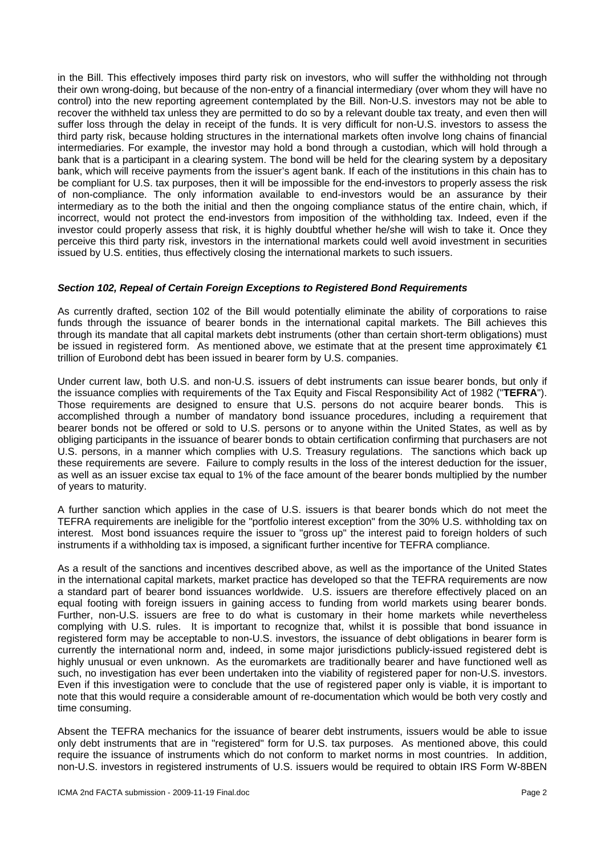in the Bill. This effectively imposes third party risk on investors, who will suffer the withholding not through their own wrong-doing, but because of the non-entry of a financial intermediary (over whom they will have no control) into the new reporting agreement contemplated by the Bill. Non-U.S. investors may not be able to recover the withheld tax unless they are permitted to do so by a relevant double tax treaty, and even then will suffer loss through the delay in receipt of the funds. It is very difficult for non-U.S. investors to assess the third party risk, because holding structures in the international markets often involve long chains of financial intermediaries. For example, the investor may hold a bond through a custodian, which will hold through a bank that is a participant in a clearing system. The bond will be held for the clearing system by a depositary bank, which will receive payments from the issuer's agent bank. If each of the institutions in this chain has to be compliant for U.S. tax purposes, then it will be impossible for the end-investors to properly assess the risk of non-compliance. The only information available to end-investors would be an assurance by their intermediary as to the both the initial and then the ongoing compliance status of the entire chain, which, if incorrect, would not protect the end-investors from imposition of the withholding tax. Indeed, even if the investor could properly assess that risk, it is highly doubtful whether he/she will wish to take it. Once they perceive this third party risk, investors in the international markets could well avoid investment in securities issued by U.S. entities, thus effectively closing the international markets to such issuers.

### *Section 102, Repeal of Certain Foreign Exceptions to Registered Bond Requirements*

As currently drafted, section 102 of the Bill would potentially eliminate the ability of corporations to raise funds through the issuance of bearer bonds in the international capital markets. The Bill achieves this through its mandate that all capital markets debt instruments (other than certain short-term obligations) must be issued in registered form. As mentioned above, we estimate that at the present time approximately €1 trillion of Eurobond debt has been issued in bearer form by U.S. companies.

Under current law, both U.S. and non-U.S. issuers of debt instruments can issue bearer bonds, but only if the issuance complies with requirements of the Tax Equity and Fiscal Responsibility Act of 1982 ("**TEFRA**"). Those requirements are designed to ensure that U.S. persons do not acquire bearer bonds. This is accomplished through a number of mandatory bond issuance procedures, including a requirement that bearer bonds not be offered or sold to U.S. persons or to anyone within the United States, as well as by obliging participants in the issuance of bearer bonds to obtain certification confirming that purchasers are not U.S. persons, in a manner which complies with U.S. Treasury regulations. The sanctions which back up these requirements are severe. Failure to comply results in the loss of the interest deduction for the issuer, as well as an issuer excise tax equal to 1% of the face amount of the bearer bonds multiplied by the number of years to maturity.

A further sanction which applies in the case of U.S. issuers is that bearer bonds which do not meet the TEFRA requirements are ineligible for the "portfolio interest exception" from the 30% U.S. withholding tax on interest. Most bond issuances require the issuer to "gross up" the interest paid to foreign holders of such instruments if a withholding tax is imposed, a significant further incentive for TEFRA compliance.

As a result of the sanctions and incentives described above, as well as the importance of the United States in the international capital markets, market practice has developed so that the TEFRA requirements are now a standard part of bearer bond issuances worldwide. U.S. issuers are therefore effectively placed on an equal footing with foreign issuers in gaining access to funding from world markets using bearer bonds. Further, non-U.S. issuers are free to do what is customary in their home markets while nevertheless complying with U.S. rules. It is important to recognize that, whilst it is possible that bond issuance in registered form may be acceptable to non-U.S. investors, the issuance of debt obligations in bearer form is currently the international norm and, indeed, in some major jurisdictions publicly-issued registered debt is highly unusual or even unknown. As the euromarkets are traditionally bearer and have functioned well as such, no investigation has ever been undertaken into the viability of registered paper for non-U.S. investors. Even if this investigation were to conclude that the use of registered paper only is viable, it is important to note that this would require a considerable amount of re-documentation which would be both very costly and time consuming.

Absent the TEFRA mechanics for the issuance of bearer debt instruments, issuers would be able to issue only debt instruments that are in "registered" form for U.S. tax purposes. As mentioned above, this could require the issuance of instruments which do not conform to market norms in most countries. In addition, non-U.S. investors in registered instruments of U.S. issuers would be required to obtain IRS Form W-8BEN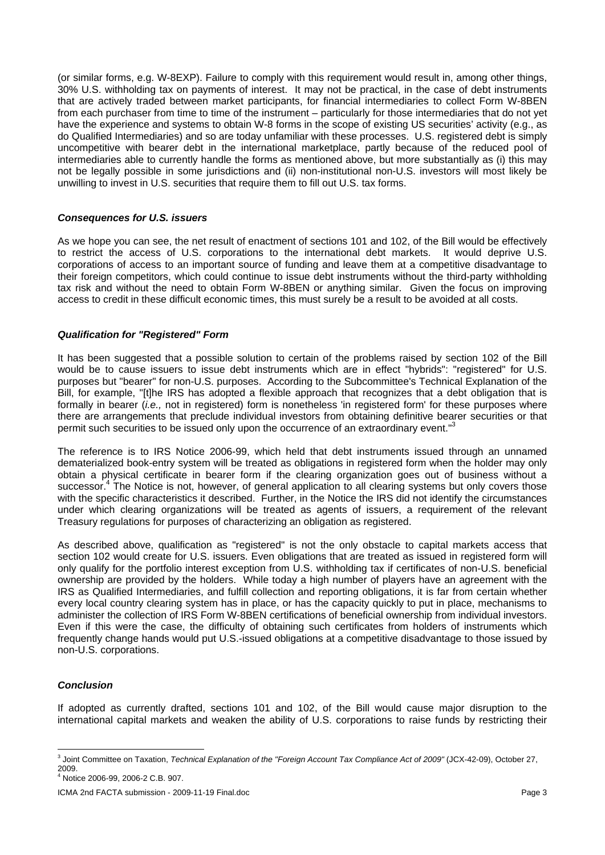(or similar forms, e.g. W-8EXP). Failure to comply with this requirement would result in, among other things, 30% U.S. withholding tax on payments of interest. It may not be practical, in the case of debt instruments that are actively traded between market participants, for financial intermediaries to collect Form W-8BEN from each purchaser from time to time of the instrument – particularly for those intermediaries that do not yet have the experience and systems to obtain W-8 forms in the scope of existing US securities' activity (e.g., as do Qualified Intermediaries) and so are today unfamiliar with these processes. U.S. registered debt is simply uncompetitive with bearer debt in the international marketplace, partly because of the reduced pool of intermediaries able to currently handle the forms as mentioned above, but more substantially as (i) this may not be legally possible in some jurisdictions and (ii) non-institutional non-U.S. investors will most likely be unwilling to invest in U.S. securities that require them to fill out U.S. tax forms.

### *Consequences for U.S. issuers*

As we hope you can see, the net result of enactment of sections 101 and 102, of the Bill would be effectively to restrict the access of U.S. corporations to the international debt markets. It would deprive U.S. corporations of access to an important source of funding and leave them at a competitive disadvantage to their foreign competitors, which could continue to issue debt instruments without the third-party withholding tax risk and without the need to obtain Form W-8BEN or anything similar. Given the focus on improving access to credit in these difficult economic times, this must surely be a result to be avoided at all costs.

### *Qualification for "Registered" Form*

It has been suggested that a possible solution to certain of the problems raised by section 102 of the Bill would be to cause issuers to issue debt instruments which are in effect "hybrids": "registered" for U.S. purposes but "bearer" for non-U.S. purposes. According to the Subcommittee's Technical Explanation of the Bill, for example, "[t]he IRS has adopted a flexible approach that recognizes that a debt obligation that is formally in bearer *(i.e.,* not in registered) form is nonetheless 'in registered form' for these purposes where there are arrangements that preclude individual investors from obtaining definitive bearer securities or that permit such securities to be issued only upon the occurrence of an extraordinary event."<sup>3</sup>

The reference is to IRS Notice 2006-99, which held that debt instruments issued through an unnamed dematerialized book-entry system will be treated as obligations in registered form when the holder may only obtain a physical certificate in bearer form if the clearing organization goes out of business without a successor.<sup>4</sup> The Notice is not, however, of general application to all clearing systems but only covers those with the specific characteristics it described. Further, in the Notice the IRS did not identify the circumstances under which clearing organizations will be treated as agents of issuers, a requirement of the relevant Treasury regulations for purposes of characterizing an obligation as registered.

As described above, qualification as "registered" is not the only obstacle to capital markets access that section 102 would create for U.S. issuers. Even obligations that are treated as issued in registered form will only qualify for the portfolio interest exception from U.S. withholding tax if certificates of non-U.S. beneficial ownership are provided by the holders. While today a high number of players have an agreement with the IRS as Qualified Intermediaries, and fulfill collection and reporting obligations, it is far from certain whether every local country clearing system has in place, or has the capacity quickly to put in place, mechanisms to administer the collection of IRS Form W-8BEN certifications of beneficial ownership from individual investors. Even if this were the case, the difficulty of obtaining such certificates from holders of instruments which frequently change hands would put U.S.-issued obligations at a competitive disadvantage to those issued by non-U.S. corporations.

# *Conclusion*

If adopted as currently drafted, sections 101 and 102, of the Bill would cause major disruption to the international capital markets and weaken the ability of U.S. corporations to raise funds by restricting their

 $\overline{a}$ 3 Joint Committee on Taxation, *Technical Explanation of the "Foreign Account Tax Compliance Act of 2009"* (JCX-42-09), October 27, 2009.

<sup>4</sup> Notice 2006-99, 2006-2 C.B. 907.

ICMA 2nd FACTA submission - 2009-11-19 Final.doc Page 3